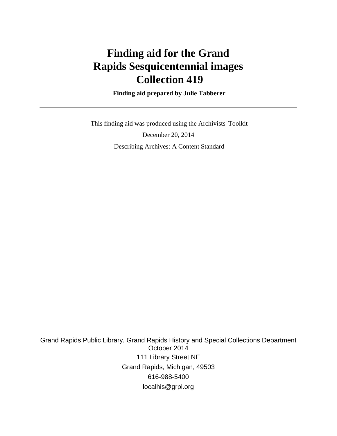# **Finding aid for the Grand Rapids Sesquicentennial images Collection 419**

 **Finding aid prepared by Julie Tabberer**

 This finding aid was produced using the Archivists' Toolkit December 20, 2014 Describing Archives: A Content Standard

Grand Rapids Public Library, Grand Rapids History and Special Collections Department October 2014 111 Library Street NE Grand Rapids, Michigan, 49503 616-988-5400 localhis@grpl.org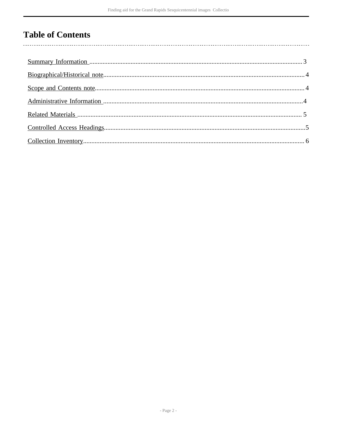## **Table of Contents**

 $\overline{\phantom{a}}$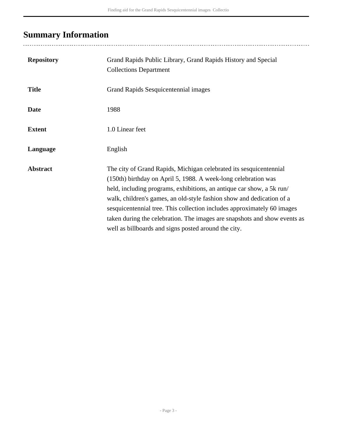# <span id="page-2-0"></span>**Summary Information**

..................................

| <b>Repository</b> | Grand Rapids Public Library, Grand Rapids History and Special<br><b>Collections Department</b>                                                                                                                                                                                                                                                                                                                                                                                                         |
|-------------------|--------------------------------------------------------------------------------------------------------------------------------------------------------------------------------------------------------------------------------------------------------------------------------------------------------------------------------------------------------------------------------------------------------------------------------------------------------------------------------------------------------|
| <b>Title</b>      | Grand Rapids Sesquicentennial images                                                                                                                                                                                                                                                                                                                                                                                                                                                                   |
| <b>Date</b>       | 1988                                                                                                                                                                                                                                                                                                                                                                                                                                                                                                   |
| <b>Extent</b>     | 1.0 Linear feet                                                                                                                                                                                                                                                                                                                                                                                                                                                                                        |
| Language          | English                                                                                                                                                                                                                                                                                                                                                                                                                                                                                                |
| <b>Abstract</b>   | The city of Grand Rapids, Michigan celebrated its sesquicentennial<br>(150th) birthday on April 5, 1988. A week-long celebration was<br>held, including programs, exhibitions, an antique car show, a 5k run/<br>walk, children's games, an old-style fashion show and dedication of a<br>sesquicentennial tree. This collection includes approximately 60 images<br>taken during the celebration. The images are snapshots and show events as<br>well as billboards and signs posted around the city. |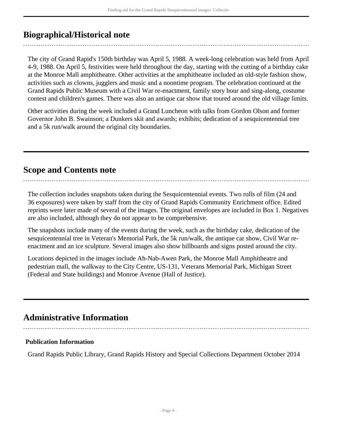## <span id="page-3-0"></span>**Biographical/Historical note**

The city of Grand Rapid's 150th birthday was April 5, 1988. A week-long celebration was held from April 4-9, 1988. On April 5, festivities were held throughout the day, starting with the cutting of a birthday cake at the Monroe Mall amphitheatre. Other activities at the amphitheatre included an old-style fashion show, activities such as clowns, jugglers and music and a noontime program. The celebration continued at the Grand Rapids Public Museum with a Civil War re-enactment, family story hour and sing-along, costume contest and children's games. There was also an antique car show that toured around the old village limits.

Other activities during the week included a Grand Luncheon with talks from Gordon Olson and former Governor John B. Swainson; a Dunkers skit and awards; exhibits; dedication of a sesquicentennial tree and a 5k run/walk around the original city boundaries.

## <span id="page-3-1"></span>**Scope and Contents note**

The collection includes snapshots taken during the Sesquicentennial events. Two rolls of film (24 and 36 exposures) were taken by staff from the city of Grand Rapids Community Enrichment office. Edited reprints were later made of several of the images. The original envelopes are included in Box 1. Negatives are also included, although they do not appear to be comprehensive.

The snapshots include many of the events during the week, such as the birthday cake, dedication of the sesquicentennial tree in Veteran's Memorial Park, the 5k run/walk, the antique car show, Civil War reenactment and an ice sculpture. Several images also show billboards and signs posted around the city.

Locations depicted in the images include Ah-Nab-Awen Park, the Monroe Mall Amphitheatre and pedestrian mall, the walkway to the City Centre, US-131, Veterans Memorial Park, Michigan Street (Federal and State buildings) and Monroe Avenue (Hall of Justice).

## <span id="page-3-2"></span>**Administrative Information**

#### **Publication Information**

Grand Rapids Public Library, Grand Rapids History and Special Collections Department October 2014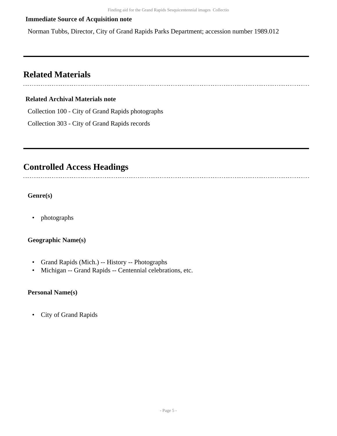#### **Immediate Source of Acquisition note**

Norman Tubbs, Director, City of Grand Rapids Parks Department; accession number 1989.012

### <span id="page-4-0"></span>**Related Materials**

#### **Related Archival Materials note**

Collection 100 - City of Grand Rapids photographs

Collection 303 - City of Grand Rapids records

### <span id="page-4-1"></span>**Controlled Access Headings**

**Genre(s)**

• photographs

#### **Geographic Name(s)**

- Grand Rapids (Mich.) -- History -- Photographs
- Michigan -- Grand Rapids -- Centennial celebrations, etc.

#### **Personal Name(s)**

• City of Grand Rapids